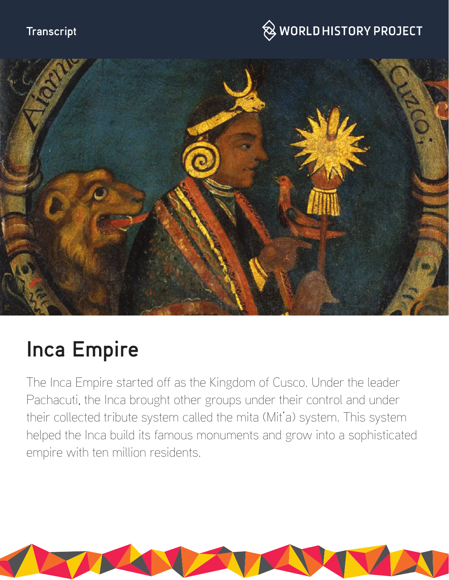# **Transcript**

# $\bigotimes$  WORLD HISTORY PROJECT



# **Inca Empire**

The Inca Empire started off as the Kingdom of Cusco. Under the leader Pachacuti, the Inca brought other groups under their control and under their collected tribute system called the mita (Mit'a) system. This system helped the Inca build its famous monuments and grow into a sophisticated empire with ten million residents.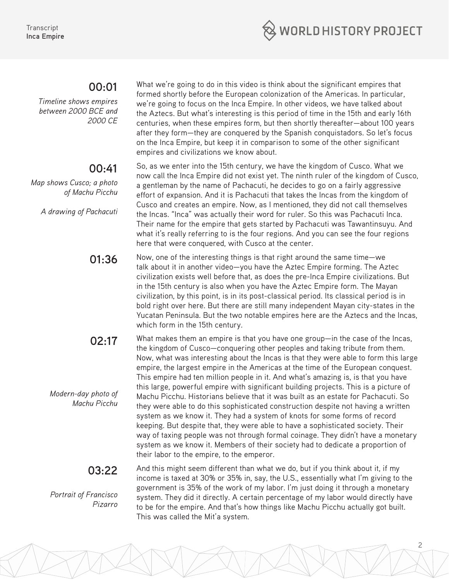

#### **00:01**

*Timeline shows empires between 2000 BCE and 2000 CE*

## **00:41**

*Map shows Cusco; a photo of Machu Picchu*

*A drawing of Pachacuti* 

What we're going to do in this video is think about the significant empires that formed shortly before the European colonization of the Americas. In particular, we're going to focus on the Inca Empire. In other videos, we have talked about the Aztecs. But what's interesting is this period of time in the 15th and early 16th centuries, when these empires form, but then shortly thereafter—about 100 years after they form—they are conquered by the Spanish conquistadors. So let's focus on the Inca Empire, but keep it in comparison to some of the other significant empires and civilizations we know about.

So, as we enter into the 15th century, we have the kingdom of Cusco. What we now call the Inca Empire did not exist yet. The ninth ruler of the kingdom of Cusco, a gentleman by the name of Pachacuti, he decides to go on a fairly aggressive effort of expansion. And it is Pachacuti that takes the Incas from the kingdom of Cusco and creates an empire. Now, as I mentioned, they did not call themselves the Incas. "Inca" was actually their word for ruler. So this was Pachacuti Inca. Their name for the empire that gets started by Pachacuti was Tawantinsuyu. And what it's really referring to is the four regions. And you can see the four regions here that were conquered, with Cusco at the center.

**01:36** Now, one of the interesting things is that right around the same time—we talk about it in another video—you have the Aztec Empire forming. The Aztec civilization exists well before that, as does the pre-Inca Empire civilizations. But in the 15th century is also when you have the Aztec Empire form. The Mayan civilization, by this point, is in its post-classical period. Its classical period is in bold right over here. But there are still many independent Mayan city-states in the Yucatan Peninsula. But the two notable empires here are the Aztecs and the Incas, which form in the 15th century.

**02:17** *Modern-day photo of Machu Picchu* What makes them an empire is that you have one group—in the case of the Incas, the kingdom of Cusco—conquering other peoples and taking tribute from them. Now, what was interesting about the Incas is that they were able to form this large empire, the largest empire in the Americas at the time of the European conquest. This empire had ten million people in it. And what's amazing is, is that you have this large, powerful empire with significant building projects. This is a picture of Machu Picchu. Historians believe that it was built as an estate for Pachacuti. So they were able to do this sophisticated construction despite not having a written system as we know it. They had a system of knots for some forms of record keeping. But despite that, they were able to have a sophisticated society. Their way of taxing people was not through formal coinage. They didn't have a monetary system as we know it. Members of their society had to dedicate a proportion of their labor to the empire, to the emperor.

> And this might seem different than what we do, but if you think about it, if my income is taxed at 30% or 35% in, say, the U.S., essentially what I'm giving to the government is 35% of the work of my labor. I'm just doing it through a monetary system. They did it directly. A certain percentage of my labor would directly have to be for the empire. And that's how things like Machu Picchu actually got built. This was called the Mit'a system.

## **03:22**

*Portrait of Francisco Pizarro*

2